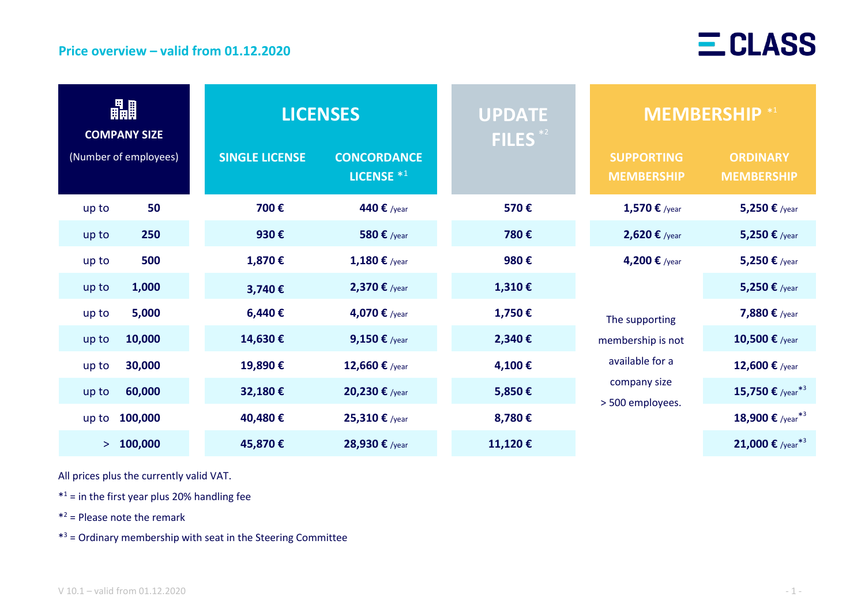

| 畾<br><b>COMPANY SIZE</b><br>(Number of employees) |           | <b>LICENSES</b>       |                                             | UPDATE <sup>1</sup><br>FILES <sup>*2</sup> | <b>MEMBERSHIP</b> *1                                                                                        |                                      |
|---------------------------------------------------|-----------|-----------------------|---------------------------------------------|--------------------------------------------|-------------------------------------------------------------------------------------------------------------|--------------------------------------|
|                                                   |           | <b>SINGLE LICENSE</b> | <b>CONCORDANCE</b><br>LICENSE <sup>*1</sup> |                                            | <b>SUPPORTING</b><br><b>MEMBERSHIP</b>                                                                      | <b>ORDINARY</b><br><b>MEMBERSHIP</b> |
| up to                                             | 50        | 700€                  | 440 € /year                                 | 570€                                       | 1,570 € /year                                                                                               | 5,250 € /year                        |
| up to                                             | 250       | 930€                  | 580 € /year                                 | 780€                                       | 2,620 € /year                                                                                               | 5,250 € /year                        |
| up to                                             | 500       | 1,870€                | 1,180 € /year                               | 980€                                       | 4,200 € /year<br>The supporting<br>membership is not<br>available for a<br>company size<br>> 500 employees. | 5,250 € /year                        |
| up to                                             | 1,000     | 3,740€                | 2,370 € /year                               | 1,310€                                     |                                                                                                             | 5,250 € /year                        |
| up to                                             | 5,000     | 6,440€                | 4,070 € /year                               | 1,750€                                     |                                                                                                             | 7,880 € /year                        |
| up to                                             | 10,000    | 14,630€               | 9,150 $\epsilon$ /year                      | 2,340€                                     |                                                                                                             | 10,500 € /year                       |
| up to                                             | 30,000    | 19,890€               | 12,660 € /year                              | 4,100€                                     |                                                                                                             | 12,600 € /year                       |
| up to                                             | 60,000    | 32,180€               | 20,230 $\epsilon$ /year                     | 5,850€                                     |                                                                                                             | 15,750 € /year <sup>*3</sup>         |
| up to                                             | 100,000   | 40,480€               | 25,310 € /year                              | 8,780€                                     |                                                                                                             | 18,900 € /year <sup>*3</sup>         |
|                                                   | > 100,000 | 45,870€               | 28,930 € /year                              | 11,120€                                    |                                                                                                             | 21,000 € /year <sup>*3</sup>         |

All prices plus the currently valid VAT.

 $*<sup>1</sup>$  = in the first year plus 20% handling fee

\* <sup>2</sup> = Please note the remark

\* <sup>3</sup> = Ordinary membership with seat in the Steering Committee